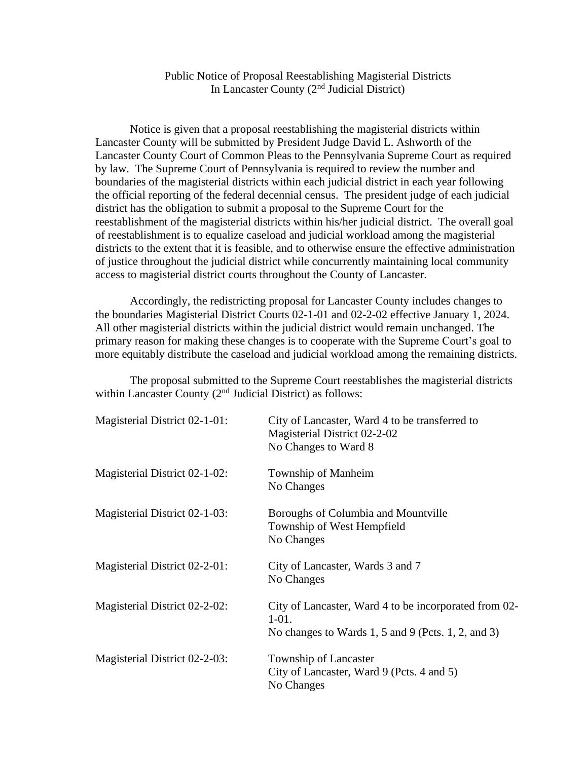## Public Notice of Proposal Reestablishing Magisterial Districts In Lancaster County (2<sup>nd</sup> Judicial District)

Notice is given that a proposal reestablishing the magisterial districts within Lancaster County will be submitted by President Judge David L. Ashworth of the Lancaster County Court of Common Pleas to the Pennsylvania Supreme Court as required by law. The Supreme Court of Pennsylvania is required to review the number and boundaries of the magisterial districts within each judicial district in each year following the official reporting of the federal decennial census. The president judge of each judicial district has the obligation to submit a proposal to the Supreme Court for the reestablishment of the magisterial districts within his/her judicial district. The overall goal of reestablishment is to equalize caseload and judicial workload among the magisterial districts to the extent that it is feasible, and to otherwise ensure the effective administration of justice throughout the judicial district while concurrently maintaining local community access to magisterial district courts throughout the County of Lancaster.

Accordingly, the redistricting proposal for Lancaster County includes changes to the boundaries Magisterial District Courts 02-1-01 and 02-2-02 effective January 1, 2024. All other magisterial districts within the judicial district would remain unchanged. The primary reason for making these changes is to cooperate with the Supreme Court's goal to more equitably distribute the caseload and judicial workload among the remaining districts.

The proposal submitted to the Supreme Court reestablishes the magisterial districts within Lancaster County (2<sup>nd</sup> Judicial District) as follows:

| Magisterial District 02-1-01: | City of Lancaster, Ward 4 to be transferred to<br>Magisterial District 02-2-02<br>No Changes to Ward 8 |
|-------------------------------|--------------------------------------------------------------------------------------------------------|
|                               |                                                                                                        |
| Magisterial District 02-1-02: | Township of Manheim                                                                                    |
|                               | No Changes                                                                                             |
| Magisterial District 02-1-03: | Boroughs of Columbia and Mountville                                                                    |
|                               | Township of West Hempfield                                                                             |
|                               | No Changes                                                                                             |
| Magisterial District 02-2-01: | City of Lancaster, Wards 3 and 7                                                                       |
|                               | No Changes                                                                                             |
| Magisterial District 02-2-02: | City of Lancaster, Ward 4 to be incorporated from 02-                                                  |
|                               | $1-01.$                                                                                                |
|                               | No changes to Wards $1, 5$ and $9$ (Pcts. 1, 2, and 3)                                                 |
| Magisterial District 02-2-03: | Township of Lancaster                                                                                  |
|                               | City of Lancaster, Ward 9 (Pcts. 4 and 5)                                                              |
|                               | No Changes                                                                                             |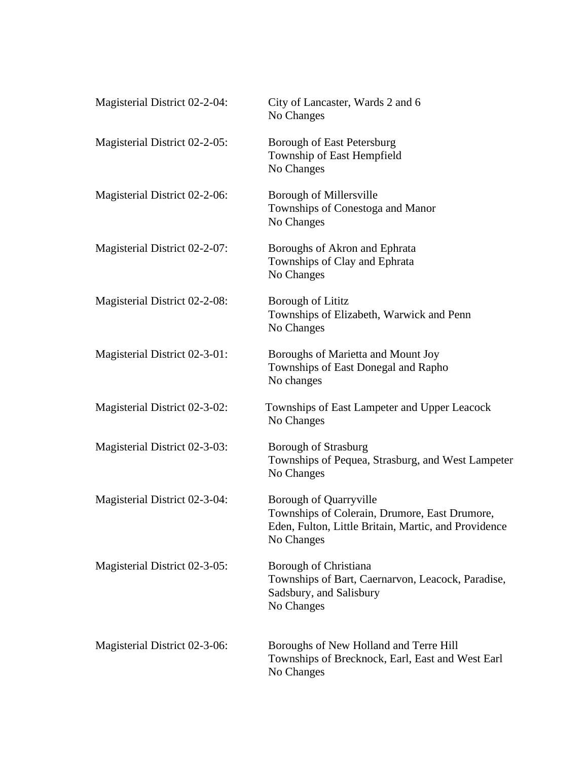| Magisterial District 02-2-04: | City of Lancaster, Wards 2 and 6<br>No Changes                                                                                                |
|-------------------------------|-----------------------------------------------------------------------------------------------------------------------------------------------|
| Magisterial District 02-2-05: | Borough of East Petersburg<br>Township of East Hempfield<br>No Changes                                                                        |
| Magisterial District 02-2-06: | Borough of Millersville<br>Townships of Conestoga and Manor<br>No Changes                                                                     |
| Magisterial District 02-2-07: | Boroughs of Akron and Ephrata<br>Townships of Clay and Ephrata<br>No Changes                                                                  |
| Magisterial District 02-2-08: | <b>Borough of Lititz</b><br>Townships of Elizabeth, Warwick and Penn<br>No Changes                                                            |
| Magisterial District 02-3-01: | Boroughs of Marietta and Mount Joy<br>Townships of East Donegal and Rapho<br>No changes                                                       |
| Magisterial District 02-3-02: | Townships of East Lampeter and Upper Leacock<br>No Changes                                                                                    |
| Magisterial District 02-3-03: | <b>Borough of Strasburg</b><br>Townships of Pequea, Strasburg, and West Lampeter<br>No Changes                                                |
| Magisterial District 02-3-04: | Borough of Quarryville<br>Townships of Colerain, Drumore, East Drumore,<br>Eden, Fulton, Little Britain, Martic, and Providence<br>No Changes |
| Magisterial District 02-3-05: | Borough of Christiana<br>Townships of Bart, Caernarvon, Leacock, Paradise,<br>Sadsbury, and Salisbury<br>No Changes                           |
| Magisterial District 02-3-06: | Boroughs of New Holland and Terre Hill<br>Townships of Brecknock, Earl, East and West Earl<br>No Changes                                      |